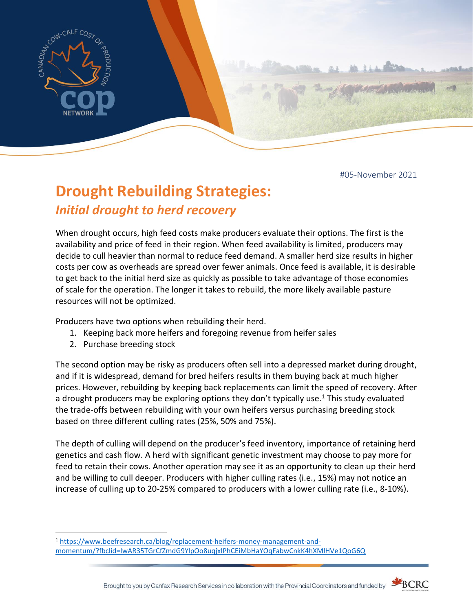

#05-November 2021

# **Drought Rebuilding Strategies:**  *Initial drought to herd recovery*

When drought occurs, high feed costs make producers evaluate their options. The first is the availability and price of feed in their region. When feed availability is limited, producers may decide to cull heavier than normal to reduce feed demand. A smaller herd size results in higher costs per cow as overheads are spread over fewer animals. Once feed is available, it is desirable to get back to the initial herd size as quickly as possible to take advantage of those economies of scale for the operation. The longer it takes to rebuild, the more likely available pasture resources will not be optimized.

Producers have two options when rebuilding their herd.

- 1. Keeping back more heifers and foregoing revenue from heifer sales
- 2. Purchase breeding stock

The second option may be risky as producers often sell into a depressed market during drought, and if it is widespread, demand for bred heifers results in them buying back at much higher prices. However, rebuilding by keeping back replacements can limit the speed of recovery. After a drought producers may be exploring options they don't typically use.<sup>1</sup> This study evaluated the trade-offs between rebuilding with your own heifers versus purchasing breeding stock based on three different culling rates (25%, 50% and 75%).

The depth of culling will depend on the producer's feed inventory, importance of retaining herd genetics and cash flow. A herd with significant genetic investment may choose to pay more for feed to retain their cows. Another operation may see it as an opportunity to clean up their herd and be willing to cull deeper. Producers with higher culling rates (i.e., 15%) may not notice an increase of culling up to 20-25% compared to producers with a lower culling rate (i.e., 8-10%).



<sup>1</sup> [https://www.beefresearch.ca/blog/replacement-heifers-money-management-and](https://www.beefresearch.ca/blog/replacement-heifers-money-management-and-momentum/?fbclid=IwAR35TGrCfZmdG9YlpOo8uqjxIPhCEiMbHaYOqFabwCnkK4hXMlHVe1QoG6Q)[momentum/?fbclid=IwAR35TGrCfZmdG9YlpOo8uqjxIPhCEiMbHaYOqFabwCnkK4hXMlHVe1QoG6Q](https://www.beefresearch.ca/blog/replacement-heifers-money-management-and-momentum/?fbclid=IwAR35TGrCfZmdG9YlpOo8uqjxIPhCEiMbHaYOqFabwCnkK4hXMlHVe1QoG6Q)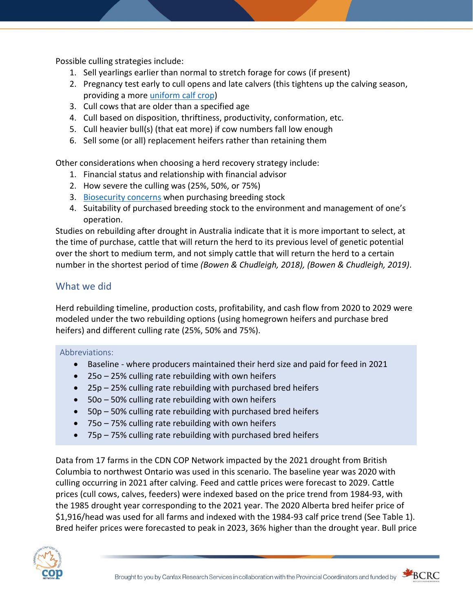Possible culling strategies include:

- 1. Sell yearlings earlier than normal to stretch forage for cows (if present)
- 2. Pregnancy test early to cull opens and late calvers (this tightens up the calving season, providing a more [uniform calf crop\)](https://www.beefresearch.ca/files/pdf/bcrc_webinar_2014_02_25_boosting_calf_crop_percentages.pdf)
- 3. Cull cows that are older than a specified age
- 4. Cull based on disposition, thriftiness, productivity, conformation, etc.
- 5. Cull heavier bull(s) (that eat more) if cow numbers fall low enough
- 6. Sell some (or all) replacement heifers rather than retaining them

Other considerations when choosing a herd recovery strategy include:

- 1. Financial status and relationship with financial advisor
- 2. How severe the culling was (25%, 50%, or 75%)
- 3. [Biosecurity concerns](https://www.beefresearch.ca/blog/disease-risks-in-herd-expansion/) when purchasing breeding stock
- 4. Suitability of purchased breeding stock to the environment and management of one's operation.

Studies on rebuilding after drought in Australia indicate that it is more important to select, at the time of purchase, cattle that will return the herd to its previous level of genetic potential over the short to medium term, and not simply cattle that will return the herd to a certain number in the shortest period of time *(Bowen & Chudleigh, 2018), (Bowen & Chudleigh, 2019)*.

# What we did

Herd rebuilding timeline, production costs, profitability, and cash flow from 2020 to 2029 were modeled under the two rebuilding options (using homegrown heifers and purchase bred heifers) and different culling rate (25%, 50% and 75%).

## Abbreviations:

- Baseline where producers maintained their herd size and paid for feed in 2021
- 25o 25% culling rate rebuilding with own heifers
- 25p 25% culling rate rebuilding with purchased bred heifers
- 50o 50% culling rate rebuilding with own heifers
- 50p 50% culling rate rebuilding with purchased bred heifers
- 75o 75% culling rate rebuilding with own heifers
- 75p 75% culling rate rebuilding with purchased bred heifers

Data from 17 farms in the CDN COP Network impacted by the 2021 drought from British Columbia to northwest Ontario was used in this scenario. The baseline year was 2020 with culling occurring in 2021 after calving. Feed and cattle prices were forecast to 2029. Cattle prices (cull cows, calves, feeders) were indexed based on the price trend from 1984-93, with the 1985 drought year corresponding to the 2021 year. The 2020 Alberta bred heifer price of \$1,916/head was used for all farms and indexed with the 1984-93 calf price trend (See Table 1). Bred heifer prices were forecasted to peak in 2023, 36% higher than the drought year. Bull price





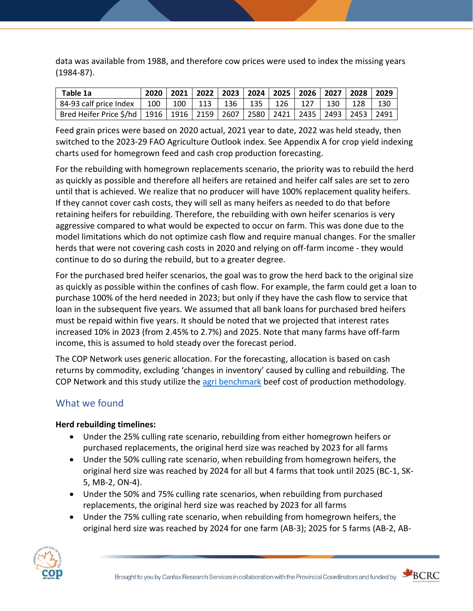data was available from 1988, and therefore cow prices were used to index the missing years (1984-87).

| Table 1a                                                                                      |     |     |                             |     |                   | 2020   2021   2022   2023   2024   2025   2026   2027   2028 |     |     |     | $\sqrt{2029}$ |
|-----------------------------------------------------------------------------------------------|-----|-----|-----------------------------|-----|-------------------|--------------------------------------------------------------|-----|-----|-----|---------------|
| 84-93 calf price Index                                                                        | 100 | 100 | $\parallel$ 113 $\parallel$ | 136 | $\frac{1}{2}$ 135 | 126                                                          | 127 | 130 | 128 | 130           |
| Bred Heifer Price \$/hd   1916   1916   2159   2607   2580   2421   2435   2493   2453   2491 |     |     |                             |     |                   |                                                              |     |     |     |               |

Feed grain prices were based on 2020 actual, 2021 year to date, 2022 was held steady, then switched to the 2023-29 FAO Agriculture Outlook index. See Appendix A for crop yield indexing charts used for homegrown feed and cash crop production forecasting.

For the rebuilding with homegrown replacements scenario, the priority was to rebuild the herd as quickly as possible and therefore all heifers are retained and heifer calf sales are set to zero until that is achieved. We realize that no producer will have 100% replacement quality heifers. If they cannot cover cash costs, they will sell as many heifers as needed to do that before retaining heifers for rebuilding. Therefore, the rebuilding with own heifer scenarios is very aggressive compared to what would be expected to occur on farm. This was done due to the model limitations which do not optimize cash flow and require manual changes. For the smaller herds that were not covering cash costs in 2020 and relying on off-farm income - they would continue to do so during the rebuild, but to a greater degree.

For the purchased bred heifer scenarios, the goal was to grow the herd back to the original size as quickly as possible within the confines of cash flow. For example, the farm could get a loan to purchase 100% of the herd needed in 2023; but only if they have the cash flow to service that loan in the subsequent five years. We assumed that all bank loans for purchased bred heifers must be repaid within five years. It should be noted that we projected that interest rates increased 10% in 2023 (from 2.45% to 2.7%) and 2025. Note that many farms have off-farm income, this is assumed to hold steady over the forecast period.

The COP Network uses generic allocation. For the forecasting, allocation is based on cash returns by commodity, excluding 'changes in inventory' caused by culling and rebuilding. The COP Network and this study utilize the [agri benchmark](http://www.agribenchmark.org/home.html) beef cost of production methodology.

# What we found

## **Herd rebuilding timelines:**

- Under the 25% culling rate scenario, rebuilding from either homegrown heifers or purchased replacements, the original herd size was reached by 2023 for all farms
- Under the 50% culling rate scenario, when rebuilding from homegrown heifers, the original herd size was reached by 2024 for all but 4 farms that took until 2025 (BC-1, SK-5, MB-2, ON-4).
- Under the 50% and 75% culling rate scenarios, when rebuilding from purchased replacements, the original herd size was reached by 2023 for all farms
- Under the 75% culling rate scenario, when rebuilding from homegrown heifers, the original herd size was reached by 2024 for one farm (AB-3); 2025 for 5 farms (AB-2, AB-





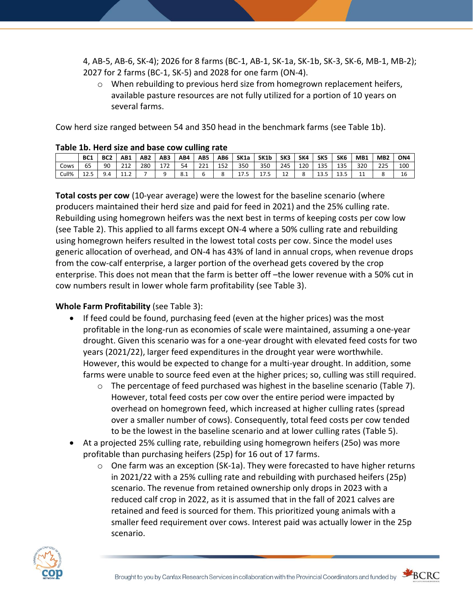4, AB-5, AB-6, SK-4); 2026 for 8 farms (BC-1, AB-1, SK-1a, SK-1b, SK-3, SK-6, MB-1, MB-2); 2027 for 2 farms (BC-1, SK-5) and 2028 for one farm (ON-4).

 $\circ$  When rebuilding to previous herd size from homegrown replacement heifers, available pasture resources are not fully utilized for a portion of 10 years on several farms.

Cow herd size ranged between 54 and 350 head in the benchmark farms (see Table 1b).

|       | BC <sub>1</sub> | BC <sub>2</sub> | AB1     | AB <sub>2</sub> | AB <sub>3</sub> | AB4 | AB5        | AB6 | SK <sub>1a</sub> | SK <sub>1</sub> b | SK <sub>3</sub> | SK4 | SK5  | SK <sub>6</sub> | MB <sub>1</sub> | MB <sub>2</sub> | ON <sub>4</sub> |
|-------|-----------------|-----------------|---------|-----------------|-----------------|-----|------------|-----|------------------|-------------------|-----------------|-----|------|-----------------|-----------------|-----------------|-----------------|
| Cows  | ხ5              | 90              | 212     | 280             | 172             | 54  | าาง<br>221 | 152 | 350              | 350               | 245             | 120 | 135  | 135             | 320             | 225             | 100             |
| Cull% | 12.5            | 9.4             | <b></b> |                 |                 | 8.1 |            |     |                  | 17.5              | 12              |     | 13.5 | 13.5            | . .             |                 | 16              |

#### **Table 1b. Herd size and base cow culling rate**

**Total costs per cow** (10-year average) were the lowest for the baseline scenario (where producers maintained their herd size and paid for feed in 2021) and the 25% culling rate. Rebuilding using homegrown heifers was the next best in terms of keeping costs per cow low (see Table 2). This applied to all farms except ON-4 where a 50% culling rate and rebuilding using homegrown heifers resulted in the lowest total costs per cow. Since the model uses generic allocation of overhead, and ON-4 has 43% of land in annual crops, when revenue drops from the cow-calf enterprise, a larger portion of the overhead gets covered by the crop enterprise. This does not mean that the farm is better off –the lower revenue with a 50% cut in cow numbers result in lower whole farm profitability (see Table 3).

### **Whole Farm Profitability** (see Table 3):

- If feed could be found, purchasing feed (even at the higher prices) was the most profitable in the long-run as economies of scale were maintained, assuming a one-year drought. Given this scenario was for a one-year drought with elevated feed costs for two years (2021/22), larger feed expenditures in the drought year were worthwhile. However, this would be expected to change for a multi-year drought. In addition, some farms were unable to source feed even at the higher prices; so, culling was still required.
	- o The percentage of feed purchased was highest in the baseline scenario (Table 7). However, total feed costs per cow over the entire period were impacted by overhead on homegrown feed, which increased at higher culling rates (spread over a smaller number of cows). Consequently, total feed costs per cow tended to be the lowest in the baseline scenario and at lower culling rates (Table 5).
- At a projected 25% culling rate, rebuilding using homegrown heifers (25o) was more profitable than purchasing heifers (25p) for 16 out of 17 farms.
	- $\circ$  One farm was an exception (SK-1a). They were forecasted to have higher returns in 2021/22 with a 25% culling rate and rebuilding with purchased heifers (25p) scenario. The revenue from retained ownership only drops in 2023 with a reduced calf crop in 2022, as it is assumed that in the fall of 2021 calves are retained and feed is sourced for them. This prioritized young animals with a smaller feed requirement over cows. Interest paid was actually lower in the 25p scenario.



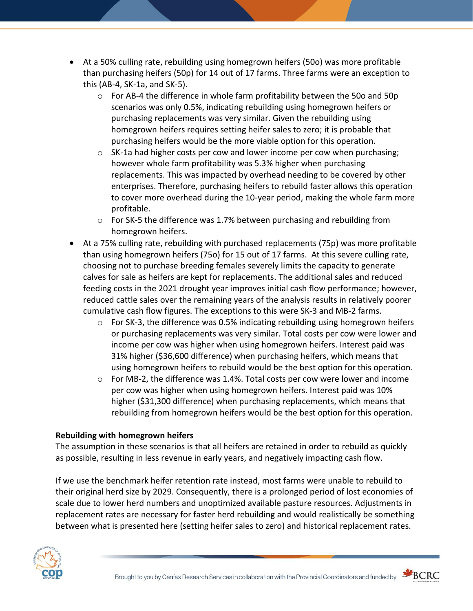- At a 50% culling rate, rebuilding using homegrown heifers (50o) was more profitable than purchasing heifers (50p) for 14 out of 17 farms. Three farms were an exception to this (AB-4, SK-1a, and SK-5).
	- $\circ$  For AB-4 the difference in whole farm profitability between the 500 and 50p scenarios was only 0.5%, indicating rebuilding using homegrown heifers or purchasing replacements was very similar. Given the rebuilding using homegrown heifers requires setting heifer sales to zero; it is probable that purchasing heifers would be the more viable option for this operation.
	- $\circ$  SK-1a had higher costs per cow and lower income per cow when purchasing; however whole farm profitability was 5.3% higher when purchasing replacements. This was impacted by overhead needing to be covered by other enterprises. Therefore, purchasing heifers to rebuild faster allows this operation to cover more overhead during the 10-year period, making the whole farm more profitable.
	- o For SK-5 the difference was 1.7% between purchasing and rebuilding from homegrown heifers.
- At a 75% culling rate, rebuilding with purchased replacements (75p) was more profitable than using homegrown heifers (75o) for 15 out of 17 farms. At this severe culling rate, choosing not to purchase breeding females severely limits the capacity to generate calves for sale as heifers are kept for replacements. The additional sales and reduced feeding costs in the 2021 drought year improves initial cash flow performance; however, reduced cattle sales over the remaining years of the analysis results in relatively poorer cumulative cash flow figures. The exceptions to this were SK-3 and MB-2 farms.
	- o For SK-3, the difference was 0.5% indicating rebuilding using homegrown heifers or purchasing replacements was very similar. Total costs per cow were lower and income per cow was higher when using homegrown heifers. Interest paid was 31% higher (\$36,600 difference) when purchasing heifers, which means that using homegrown heifers to rebuild would be the best option for this operation.
	- $\circ$  For MB-2, the difference was 1.4%. Total costs per cow were lower and income per cow was higher when using homegrown heifers. Interest paid was 10% higher (\$31,300 difference) when purchasing replacements, which means that rebuilding from homegrown heifers would be the best option for this operation.

## **Rebuilding with homegrown heifers**

The assumption in these scenarios is that all heifers are retained in order to rebuild as quickly as possible, resulting in less revenue in early years, and negatively impacting cash flow.

If we use the benchmark heifer retention rate instead, most farms were unable to rebuild to their original herd size by 2029. Consequently, there is a prolonged period of lost economies of scale due to lower herd numbers and unoptimized available pasture resources. Adjustments in replacement rates are necessary for faster herd rebuilding and would realistically be something between what is presented here (setting heifer sales to zero) and historical replacement rates.





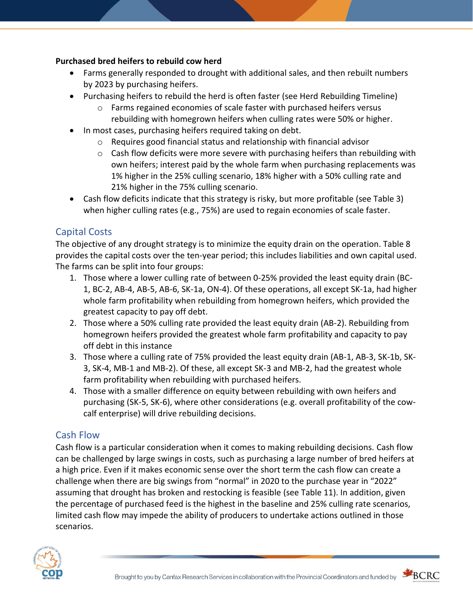### **Purchased bred heifers to rebuild cow herd**

- Farms generally responded to drought with additional sales, and then rebuilt numbers by 2023 by purchasing heifers.
- Purchasing heifers to rebuild the herd is often faster (see Herd Rebuilding Timeline)
	- $\circ$  Farms regained economies of scale faster with purchased heifers versus rebuilding with homegrown heifers when culling rates were 50% or higher.
- In most cases, purchasing heifers required taking on debt.
	- $\circ$  Requires good financial status and relationship with financial advisor
	- $\circ$  Cash flow deficits were more severe with purchasing heifers than rebuilding with own heifers; interest paid by the whole farm when purchasing replacements was 1% higher in the 25% culling scenario, 18% higher with a 50% culling rate and 21% higher in the 75% culling scenario.
- Cash flow deficits indicate that this strategy is risky, but more profitable (see Table 3) when higher culling rates (e.g., 75%) are used to regain economies of scale faster.

# Capital Costs

The objective of any drought strategy is to minimize the equity drain on the operation. Table 8 provides the capital costs over the ten-year period; this includes liabilities and own capital used. The farms can be split into four groups:

- 1. Those where a lower culling rate of between 0-25% provided the least equity drain (BC-1, BC-2, AB-4, AB-5, AB-6, SK-1a, ON-4). Of these operations, all except SK-1a, had higher whole farm profitability when rebuilding from homegrown heifers, which provided the greatest capacity to pay off debt.
- 2. Those where a 50% culling rate provided the least equity drain (AB-2). Rebuilding from homegrown heifers provided the greatest whole farm profitability and capacity to pay off debt in this instance
- 3. Those where a culling rate of 75% provided the least equity drain (AB-1, AB-3, SK-1b, SK-3, SK-4, MB-1 and MB-2). Of these, all except SK-3 and MB-2, had the greatest whole farm profitability when rebuilding with purchased heifers.
- 4. Those with a smaller difference on equity between rebuilding with own heifers and purchasing (SK-5, SK-6), where other considerations (e.g. overall profitability of the cowcalf enterprise) will drive rebuilding decisions.

# Cash Flow

Cash flow is a particular consideration when it comes to making rebuilding decisions. Cash flow can be challenged by large swings in costs, such as purchasing a large number of bred heifers at a high price. Even if it makes economic sense over the short term the cash flow can create a challenge when there are big swings from "normal" in 2020 to the purchase year in "2022" assuming that drought has broken and restocking is feasible (see Table 11). In addition, given the percentage of purchased feed is the highest in the baseline and 25% culling rate scenarios, limited cash flow may impede the ability of producers to undertake actions outlined in those scenarios.



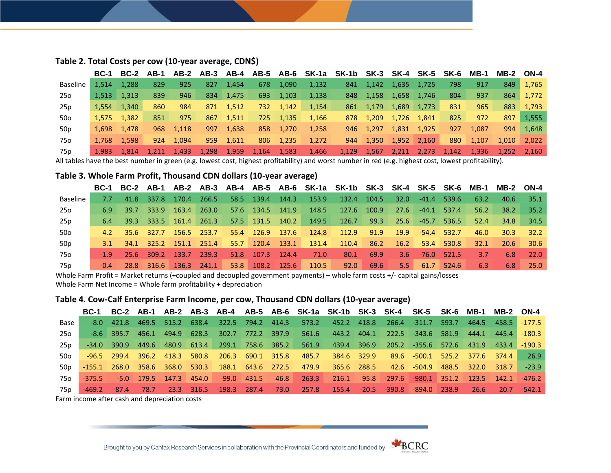|                 | <b>BC-1</b> |                     |     |             |       |       |       |       | BC-2 AB-1 AB-2 AB-3 AB-4 AB-5 AB-6 SK-1a SK-1b SK-3 SK-4 SK-5 SK-6 |       |           |                |               |                   | MB-1  | <b>MB-2 ON-4</b> |       |
|-----------------|-------------|---------------------|-----|-------------|-------|-------|-------|-------|--------------------------------------------------------------------|-------|-----------|----------------|---------------|-------------------|-------|------------------|-------|
| Baseline        | 1.514       | 1.288               | 829 | 925         | 827   | 1.454 | 678   | 1.090 | 1.132                                                              | 841   | 1,142     | 1,635          | 1,725         | 798               | 917   | 849              | 1,765 |
| 25o             |             | $1.513 \quad 1.313$ | 839 | 946         | 834   | 1,475 | 693   | 1.103 | 1,138                                                              |       | 848 1,158 | 1,658          | 1,746         | 804               | 937   | 864              | 1,772 |
| 25p             | 1.554       | 1.340               | 860 | 984         | 871   | 1,512 | 732   | 1.142 | 1.154                                                              |       | 861 1,179 | 1,689          | 1,773         | 831               | 965   | 883              | 1.793 |
| 50o             |             | 1.575 1.382         | 851 | 975         | 867   | 1.511 | 725   | 1.135 | 1.166                                                              |       | 878 1.209 | 1,726          | 1,841         | 825               | 972   | 897              | 1,555 |
| 50 <sub>p</sub> | 1.698       | 1.478               | 968 | 1,118       | 997   | 1.638 | 858   | 1.270 | 1.258                                                              |       | 946 1.297 | 1,831          | 1,925         | 927               | 1.087 | 994              | 1,648 |
| 75o             | 1.768       | 1.598               | 924 | 1.094       | 959   | 1,611 | 806   | 1.235 | 1.272                                                              |       | 944 1,350 |                | $1,952$ 2,160 | 880               | 1,107 | 1,010            | 2.022 |
| 75p             | 1.983       | 1.814               |     | 1,211 1,433 | 1,298 | 1,959 | 1,164 | 1,583 | 1,466                                                              | 1,129 | 1,567     | $\sqrt{2,211}$ | 2,273         | $\setminus$ 1,142 | 1,336 | $1.252$ $2.160$  |       |

#### **Table 2. Total Costs per cow (10-year average, CDN\$)**

All tables have the best number in green (e.g. lowest cost, highest profitability) and worst number in red (e.g. highest cost, lowest profitability).

#### **Table 3. Whole Farm Profit, Thousand CDN dollars (10-year average)**

|                 |         |                  |                                |        |                  |                  |       | BC-1 BC-2 AB-1 AB-2 AB-3 AB-4 AB-5 AB-6 SK-1a SK-1b SK-3 SK-4 SK-5 SK-6 MB-1 MB-2 ON-4 |       |                      |       |      |       |               |
|-----------------|---------|------------------|--------------------------------|--------|------------------|------------------|-------|----------------------------------------------------------------------------------------|-------|----------------------|-------|------|-------|---------------|
| Baseline        | 7.7     | 41.8 337.8       | 170.4 266.5                    |        | 58.5 139.4 144.3 |                  | 153.9 | - 132.4                                                                                | 104.5 | $32.0$ $-41.4$ 539.6 |       | 63.2 | -40.6 | - 35.1        |
| 25o             | 6.9     |                  | 39.7 333.9 163.4 263.0         |        |                  | 57.6 134.5 141.9 |       | 148.5 127.6 100.9                                                                      |       | 27.6 -44.1 537.4     |       | 56.2 |       | $38.2$ $35.2$ |
| 25p             | -6.4    |                  | $39.3$ $333.5$ $161.4$ $261.3$ |        |                  | 57.5 131.5 140.2 |       | 149.5 126.7                                                                            | 99.3  | 25.6 -45.7 536.5     |       | 52.4 |       | 34.8 34.5     |
| 50o             |         |                  | 4.2 35.6 327.7 156.5 253.7     |        |                  | 55.4 126.9 137.6 | 124.8 | 112.9 91.9 19.9 -54.4 532.7                                                            |       |                      |       | 46.0 | 30.3  | $-32.2$       |
| 50 <sub>p</sub> | $3.1 -$ |                  | 34.1 325.2 151.1 251.4         |        |                  | 55.7 120.4 133.1 | 131.4 | 110.4 86.2 16.2 -53.4 530.8                                                            |       |                      |       | 32.1 |       | $20.6$ 30.6   |
| 75o             | $-19$   | - 25.6 - 309.2 - | $-133.7$                       | -239.3 | 51.8 107.3 124.4 |                  | 71.0  | 80.1                                                                                   | 69.9  | $3.6$ -76.0 521.5    |       | 3.Z  | 6.8   | 22.0          |
| 75 p            | $-0.4$  |                  | 28.8 316.6 136.3 241.1         |        |                  | 53.8 108.2 125.6 | 110.5 | 92.0                                                                                   | 69.6  | $5.5 - 61.7$         | 524.6 | 6.3  | 6.8   | -25.0         |

Whole Farm Profit = Market returns (+coupled and decoupled government payments) – whole farm costs +/- capital gains/losses

Whole Farm Net Income = Whole farm profitability + depreciation

#### **Table 4. Cow-Calf Enterprise Farm Income, per cow, Thousand CDN dollars (10-year average)**

|        |  |  |  |  |                                                       | BC-1 BC-2 AB-1 AB-2 AB-3 AB-4 AB-5 AB-6 SK-1a SK-1b SK-3 SK-4 SK-5 SK-6 MB-1 MB-2 ON-4                         |                                                   |  |                  |                |
|--------|--|--|--|--|-------------------------------------------------------|----------------------------------------------------------------------------------------------------------------|---------------------------------------------------|--|------------------|----------------|
| Base I |  |  |  |  |                                                       | -8.0 421.8 469.5 515.2 638.4  322.5 794.2 414.3  573.2  452.2 418.8  266.4  -311.7 593.7  464.5  458.5  -177.5 |                                                   |  |                  |                |
| 25o l  |  |  |  |  |                                                       | -8.6 395.7 456.1 494.9 628.3 302.7 772.2 397.9 561.6 443.2 404.1 222.5 -343.6 581.9 444.1 445.4 -180.3         |                                                   |  |                  |                |
| 25 p   |  |  |  |  |                                                       | -34.0 390.9 449.6 480.9 613.4 299.1 758.6 385.2 561.9 439.4 396.9 205.2 -355.6 572.6 431.9 433.4 -190.3        |                                                   |  |                  |                |
| 50o    |  |  |  |  |                                                       | -96.5 299.4 396.2 418.3 580.8  206.3 690.1 315.8  485.7  384.6 329.9  89.6 -500.1 525.2 377.6 374.4            |                                                   |  |                  | 26.9           |
| 50p    |  |  |  |  |                                                       | -155.1 268.0 358.6 368.0 530.3 188.1 643.6 272.5  479.9  365.6 288.5  42.6 -504.9 488.5 322.0 318.7            |                                                   |  |                  | $\sqrt{-23.9}$ |
| 75o    |  |  |  |  | -375.5 -5.0 179.5 147.3 454.0 -99.0 431.5 46.8 263.3  |                                                                                                                | 216.1 95.8 -297.6 -980.1 351.2 123.5 142.1 -476.2 |  |                  |                |
| 75p I  |  |  |  |  | -469.2 -87.4 78.7 23.3 316.5 -198.3 287.4 -73.0 257.8 | 155.4  -20.5  -390.8  -894.0 238.9                                                                             |                                                   |  | 26.6 20.7 -542.1 |                |
|        |  |  |  |  |                                                       |                                                                                                                |                                                   |  |                  |                |

Farm income after cash and depreciation costs

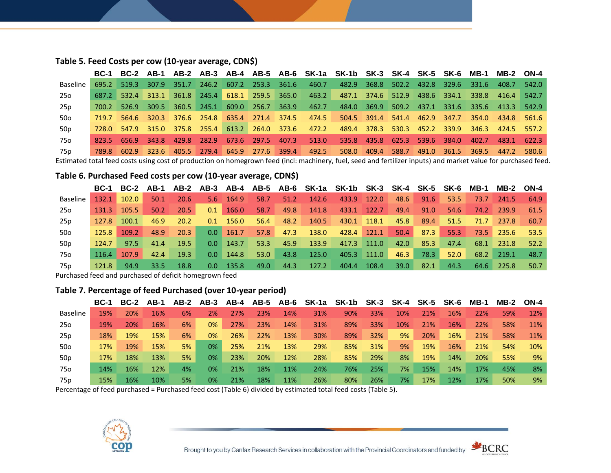| Table 5. Feed Costs per cow (10-year average, CDN\$) |  |
|------------------------------------------------------|--|
|------------------------------------------------------|--|

|                 |       |  |                                                 |  |  | BC-1 BC-2 AB-1 AB-2 AB-3 AB-4 AB-5 AB-6 SK-1a SK-1b SK-3 SK-4 SK-5 SK-6 MB-1 MB-2 ON-4    |  |  |       |                   |             |
|-----------------|-------|--|-------------------------------------------------|--|--|-------------------------------------------------------------------------------------------|--|--|-------|-------------------|-------------|
| Baseline        |       |  | 695.2 519.3 307.9 351.7 246.2 607.2 253.3 361.6 |  |  | 460.7 482.9 368.8 502.2 432.8 329.6 331.6                                                 |  |  |       | 408.7             | 542.0       |
| 25o             |       |  | 687.2 532.4 313.1 361.8 245.4 618.1 259.5 365.0 |  |  | 463.2 487.1 374.6 512.9 438.6 334.1 338.8                                                 |  |  |       | 416.4             | 542.7       |
| 25p             |       |  | 700.2 526.9 309.5 360.5 245.1 609.0 256.7 363.9 |  |  | 462.7 484.0 369.9 509.2 437.1 331.6 335.6 413.3 542.9                                     |  |  |       |                   |             |
| 50o             | 719.7 |  |                                                 |  |  | 564.6 320.3 376.6 254.8 635.4 271.4 374.5  474.5  504.5 391.4 541.4 462.9 347.7           |  |  |       | 354.0 434.8 561.6 |             |
| 50 <sub>p</sub> |       |  |                                                 |  |  | 728.0 547.9 315.0 375.8 255.4 613.2 264.0 373.6 472.2 489.4 378.3 530.3 452.2 339.9 346.3 |  |  |       | 424.5 557.2       |             |
| 75o             |       |  |                                                 |  |  | 823.5 656.9 343.8 429.8 282.9 673.6 297.5 407.3 513.0 535.8 435.8 625.3 539.6 384.0       |  |  | 402.7 |                   | 483.1 622.3 |
| 75p             |       |  | 789.8 602.9 323.6 405.5 279.4 645.9 277.6 399.4 |  |  | 492.5   508.0   409.4   588.7   491.0   361.5   369.5   447.2   580.6                     |  |  |       |                   |             |

Estimated total feed costs using cost of production on homegrown feed (incl: machinery, fuel, seed and fertilizer inputs) and market value for purchased feed.

#### **Table 6. Purchased Feed costs per cow (10-year average, CDN\$)**

|                 | <b>BC-1</b> |       |      |      |                  |       |      |      |       | BC-2 AB-1 AB-2 AB-3 AB-4 AB-5 AB-6 SK-1a SK-1b SK-3 SK-4 SK-5 SK-6 MB-1 |       |      |      |      |      | <b>MB-2 ON-4</b> |      |
|-----------------|-------------|-------|------|------|------------------|-------|------|------|-------|-------------------------------------------------------------------------|-------|------|------|------|------|------------------|------|
| <b>Baseline</b> | 132.1       | 102.0 | 50.1 | 20.6 | $5.6^{\circ}$    | 164.9 | 58.7 | 51.2 | 142.6 | 433.9                                                                   | 122.0 | 48.6 | 91.6 | 53.5 | 73.7 | 241.5            | 64.9 |
| 25o             | 131.3       | 105.5 | 50.2 | 20.5 | 0.1              | 166.0 | 58.7 | 49.8 | 141.8 | 433.1                                                                   | 122.7 | 49.4 | 91.0 | 54.6 | 74.2 | 239.9            | 61.5 |
| 25p             | 127.8       | 100.1 | 46.9 | 20.2 | 0.1              | 156.0 | 56.4 | 48.2 | 140.5 | 430.1                                                                   | 118.1 | 45.8 | 89.4 | 51.5 | 71.7 | 237.8            | 60.7 |
| 50o             | 125.8       | 109.2 | 48.9 | 20.3 | 0.0              | 161.7 | 57.8 | 47.3 | 138.0 | 428.4                                                                   | 121.1 | 50.4 | 87.3 | 55.3 | 73.5 | 235.6            | 53.5 |
| 50 <sub>p</sub> | 124.7       | 97.5  | 41.4 | 19.5 | 0.0 <sub>1</sub> | 143.7 | 53.3 | 45.9 | 133.9 | 417.3                                                                   | 111.0 | 42.0 | 85.3 | 47.4 | 68.1 | 231.8            | 52.2 |
| 75o             | 116.4       | 107.9 | 42.4 | 19.3 | 0.0 <sub>1</sub> | 144.8 | 53.0 | 43.8 | 125.0 | 405.3                                                                   | 111.0 | 46.3 | 78.3 | 52.0 | 68.2 | 219.1            | 48.7 |
| 75p             | 121.8       | 94.9  | 33.5 | 18.8 | 0.0              | 135.8 | 49.0 | 44.3 | 127.2 | 404.4                                                                   | 108.4 | 39.0 | 82.1 | 44.3 | 64.6 | 225.8            | 50.7 |

Purchased feed and purchased of deficit homegrown feed

#### **Table 7. Percentage of feed Purchased (over 10-year period)**

|                 | <b>BC-1</b> |     | <b>BC-2 AB-1</b> | AB-2 |    |     |     |     |     | AB-3 AB-4 AB-5 AB-6 SK-1a SK-1b | SK-3 | SK-4 | SK-5 | SK-6 | $MB-1$ | <b>MB-2</b> | ON-4 |
|-----------------|-------------|-----|------------------|------|----|-----|-----|-----|-----|---------------------------------|------|------|------|------|--------|-------------|------|
| <b>Baseline</b> | 19%         | 20% | 16%              | 6%   | 2% | 27% | 23% | 14% | 31% | 90%                             | 33%  | 10%  | 21%  | 16%  | 22%    | 59%         | 12%  |
| 25o             | 19%         | 20% | 16%              | 6%   | 0% | 27% | 23% | 14% | 31% | 89%                             | 33%  | 10%  | 21%  | 16%  | 22%    | 58%         | 11%  |
| 25p             | 18%         | 19% | 15%              | 6%   | 0% | 26% | 22% | 13% | 30% | 89%                             | 32%  | 9%   | 20%  | 16%  | 21%    | 58%         | 11%  |
| 50o             | 17%         | 19% | 15%              | 5%   | 0% | 25% | 21% | 13% | 29% | 85%                             | 31%  | 9%   | 19%  | 16%  | 21%    | 54%         | 10%  |
| 50p             | 17%         | 18% | 13%              | 5%   | 0% | 23% | 20% | 12% | 28% | 85%                             | 29%  | 8%   | 19%  | 14%  | 20%    | 55%         | 9%   |
| 75o             | 14%         | 16% | 12%              | 4%   | 0% | 21% | 18% | 11% | 24% | 76%                             | 25%  | 7%   | 15%  | 14%  | 17%    | 45%         | 8%   |
| 75p             | 15%         | 16% | 10%              | 5%   | 0% | 21% | 18% | 11% | 26% | 80%                             | 26%  | 7%   | 17%  | 12%  | 17%    | 50%         | 9%   |

Percentage of feed purchased = Purchased feed cost (Table 6) divided by estimated total feed costs (Table 5).



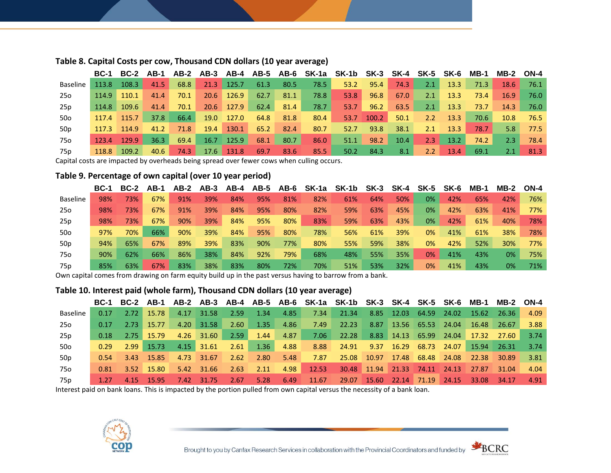|                 |       |       |      |      |      |              |      |      |      | BC-1 BC-2 AB-1 AB-2 AB-3 AB-4 AB-5 AB-6 SK-1a SK-1b SK-3 SK-4 SK-5 SK-6 |       |      |               |      | MB-1 | <b>MB-2 ON-4</b> |      |
|-----------------|-------|-------|------|------|------|--------------|------|------|------|-------------------------------------------------------------------------|-------|------|---------------|------|------|------------------|------|
| <b>Baseline</b> | 113.8 | 108.3 | 41.5 | 68.8 |      | $21.3$ 125.7 | 61.3 | 80.5 | 78.5 | 53.2                                                                    | 95.4  | 74.3 | 2.1           | 13.3 | 71.3 | 18.6             | 76.1 |
| 25o             | 114.9 | 110.1 | 41.4 | 70.1 | 20.6 | 126.9        | 62.7 | 81.1 | 78.8 | 53.8                                                                    | 96.8  | 67.0 | 2.1           | 13.3 | 73.4 | 16.9             | 76.0 |
| 25p             | 114.8 | 109.6 | 41.4 | 70.1 |      | $20.6$ 127.9 | 62.4 | 81.4 | 78.7 | 53.7                                                                    | 96.2  | 63.5 | 2.1           | 13.3 | 73.7 | 14.3             | 76.0 |
| 50o             | 117.4 | 115.7 | 37.8 | 66.4 | 19.0 | 127.0        | 64.8 | 81.8 | 80.4 | 53.7                                                                    | 100.2 | 50.1 | $2.2^{\circ}$ | 13.3 | 70.6 | 10.8             | 76.5 |
| 50 <sub>p</sub> | 117.3 | 114.9 | 41.2 | 71.8 | 19.4 | 130.1        | 65.2 | 82.4 | 80.7 | 52.7                                                                    | 93.8  | 38.1 | 2.1           | 13.3 | 78.7 | 5.8              | 77.5 |
| 75o             | 123.4 | 129.9 | 36.3 | 69.4 | 16.7 | 125.9        | 68.1 | 80.7 | 86.0 | 51.1                                                                    | 98.2  | 10.4 | 2.3           | 13.2 | 74.2 | 2.3              | 78.4 |
| 75p             | 118.8 | 109.2 | 40.6 | 74.3 |      | $17.6$ 131.8 | 69.7 | 83.6 | 85.5 | 50.2                                                                    | 84.3  | 8.1  | $2.2^{\circ}$ | 13.4 | 69.1 | 2.1              | 81.3 |

#### **Table 8. Capital Costs per cow, Thousand CDN dollars (10 year average)**

Capital costs are impacted by overheads being spread over fewer cows when culling occurs.

#### **Table 9. Percentage of own capital (over 10 year period)**

|                 | <b>BC-1</b> | <b>BC-2</b> | AB-1 | AB-2 | AB-3 | AB-4 |     | AB-5 AB-6 | SK-1a | SK-1b | $SK-3$ | SK-4 | $SK-5$ | SK-6 | $MB-1$ | $MB-2$ | $ON-4$ |
|-----------------|-------------|-------------|------|------|------|------|-----|-----------|-------|-------|--------|------|--------|------|--------|--------|--------|
| <b>Baseline</b> | 98%         | 73%         | 67%  | 91%  | 39%  | 84%  | 95% | 81%       | 82%   | 61%   | 64%    | 50%  | 0%     | 42%  | 65%    | 42%    | 76%    |
| 25o             | 98%         | 73%         | 67%  | 91%  | 39%  | 84%  | 95% | 80%       | 82%   | 59%   | 63%    | 45%  | 0%     | 42%  | 63%    | 41%    | 77%    |
| 25p             | 98%         | 73%         | 67%  | 90%  | 39%  | 84%  | 95% | 80%       | 83%   | 59%   | 63%    | 43%  | 0%     | 42%  | 61%    | 40%    | 78%    |
| 50o             | 97%         | 70%         | 66%  | 90%  | 39%  | 84%  | 95% | 80%       | 78%   | 56%   | 61%    | 39%  | 0%     | 41%  | 61%    | 38%    | 78%    |
| 50 <sub>p</sub> | 94%         | 65%         | 67%  | 89%  | 39%  | 83%  | 90% | 77%       | 80%   | 55%   | 59%    | 38%  | 0%     | 42%  | 52%    | 30%    | 77%    |
| 75o             | 90%         | 62%         | 66%  | 86%  | 38%  | 84%  | 92% | 79%       | 68%   | 48%   | 55%    | 35%  | 0%     | 41%  | 43%    | 0%     | 75%    |
| 75 <sub>p</sub> | 85%         | 63%         | 67%  | 83%  | 38%  | 83%  | 80% | 72%       | 70%   | 51%   | 53%    | 32%  | 0%     | 41%  | 43%    | 0%     | 71%    |

Own capital comes from drawing on farm equity build up in the past versus having to barrow from a bank.

#### **Table 10. Interest paid (whole farm), Thousand CDN dollars (10 year average)**

|          |      |              |                                 |            |                 |               |      | BC-1 BC-2 AB-1 AB-2 AB-3 AB-4 AB-5 AB-6 SK-1a SK-1b SK-3 SK-4 SK-5 SK-6 MB-1 MB-2 ON-4 |  |  |  |      |
|----------|------|--------------|---------------------------------|------------|-----------------|---------------|------|----------------------------------------------------------------------------------------|--|--|--|------|
| Baseline | 0.17 | 2.72 15.78   |                                 | 4.17 31.58 | $-2.59$         | 1.34          |      | 4.85 7.34 21.34 8.85 12.03 64.59 24.02 15.62 26.36                                     |  |  |  | 4.09 |
| 25o      | 0.17 | 2.73 15.77   |                                 |            | 4.20 31.58 2.60 | 1.35          |      | 4.86 7.49 22.23 8.87 13.56 65.53 24.04 16.48 26.67                                     |  |  |  | 3.88 |
| 25p      | 0.18 |              | 2.75 15.79 4.26 31.60 2.59 1.44 |            |                 |               |      | 4.87 7.06 22.28 8.83 14.13 65.99 24.04 17.32 27.60 3.74                                |  |  |  |      |
| 50o      | 0.29 | $2.99$ 15.73 |                                 |            |                 |               |      | 4.15 31.61 2.61 1.36 4.88 8.88 24.91 9.37 16.29 68.73 24.07 15.94 26.31 3.74           |  |  |  |      |
| 50p      | 0.54 | 3.43 15.85   |                                 | 4.73 31.67 |                 | $2.62$ $2.80$ |      | 5.48 7.87 25.08 10.97 17.48 68.48 24.08 22.38 30.89 3.81                               |  |  |  |      |
| 75o      | 0.81 | 3.52 15.80   |                                 |            |                 |               |      | 5.42 31.66 2.63 2.11 4.98 12.53 30.48 11.94 21.33 74.11 24.13 27.87 31.04              |  |  |  | 4.04 |
| 75 p     |      | 4.15 15.95   |                                 | 7.42 31.75 | $2.67$ 5.28     |               | 6.49 | $11.67$ 29.07 15.60 22.14 71.19 24.15 33.08 34.17                                      |  |  |  | 4.91 |

Interest paid on bank loans. This is impacted by the portion pulled from own capital versus the necessity of a bank loan.



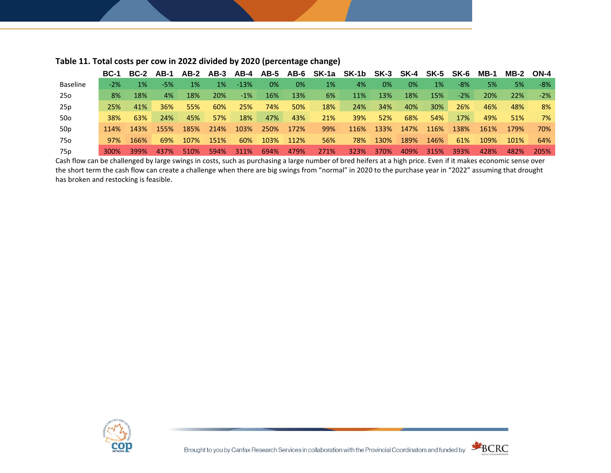|                 | <b>BC-1</b> | <b>BC-2</b> | AB-1  | AB-2 | AB-3 | AB-4   | AB-5 | AB-6 | SK-1a | SK-1b SK-3 SK-4 SK-5 |      |      |      | SK-6   | $MB-1$ | <b>MB-2</b> | ON-4  |
|-----------------|-------------|-------------|-------|------|------|--------|------|------|-------|----------------------|------|------|------|--------|--------|-------------|-------|
| <b>Baseline</b> | $-2\%$      | $1\%$       | $-5%$ | 1%   | 1%   | $-13%$ | 0%   | 0%   | 1%    | 4%                   | 0%   | 0%   | 1%   | -8%    | 5%     | 5%          | $-8%$ |
| 25o             | 8%          | 18%         | 4%    | 18%  | 20%  | $-1\%$ | 16%  | 13%  | 6%    | 11%                  | 13%  | 18%  | 15%  | $-2\%$ | 20%    | 22%         | $-2%$ |
| 25p             | 25%         | 41%         | 36%   | 55%  | 60%  | 25%    | 74%  | 50%  | 18%   | 24%                  | 34%  | 40%  | 30%  | 26%    | 46%    | 48%         | 8%    |
| 50o             | <b>38%</b>  | 63%         | 24%   | 45%  | 57%  | 18%    | 47%  | 43%  | 21%   | 39%                  | 52%  | 68%  | 54%  | 17%    | 49%    | 51%         | 7%    |
| 50 <sub>p</sub> | 114%        | 143%        | 155%  | 185% | 214% | 103%   | 250% | 172% | 99%   | 116%                 | 133% | 147% | 116% | 138%   | 161%   | 179%        | 70%   |
| 75o             | 97%         | 166%        | 69%   | 107% | 151% | 60%    | 103% | 112% | 56%   | 78%                  | 130% | 189% | 146% | 61%    | 109%   | 101%        | 64%   |
| 75p             | 300%        | 399%        | 437%  | 510% | 594% | 311%   | 694% | 479% | 271%  | 323%                 | 370% | 409% | 315% | 393%   | 428%   | 482%        | 205%  |

#### **Table 11. Total costs per cow in 2022 divided by 2020 (percentage change)**

Cash flow can be challenged by large swings in costs, such as purchasing a large number of bred heifers at a high price. Even if it makes economic sense over the short term the cash flow can create a challenge when there are big swings from "normal" in 2020 to the purchase year in "2022" assuming that drought has broken and restocking is feasible.



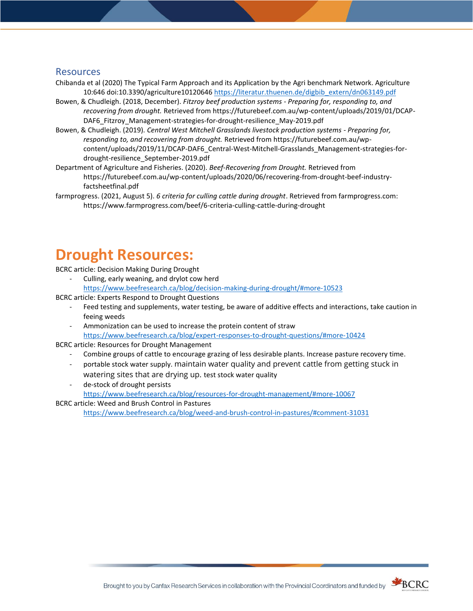#### Resources

- Chibanda et al (2020) The Typical Farm Approach and its Application by the Agri benchmark Network. Agriculture 10:646 doi:10.3390/agriculture1012064[6 https://literatur.thuenen.de/digbib\\_extern/dn063149.pdf](https://literatur.thuenen.de/digbib_extern/dn063149.pdf)
- Bowen, & Chudleigh. (2018, December). *Fitzroy beef production systems - Preparing for, responding to, and recovering from drought.* Retrieved from https://futurebeef.com.au/wp-content/uploads/2019/01/DCAP-DAF6 Fitzroy Management-strategies-for-drought-resilience May-2019.pdf
- Bowen, & Chudleigh. (2019). *Central West Mitchell Grasslands livestock production systems - Preparing for, responding to, and recovering from drought.* Retrieved from https://futurebeef.com.au/wpcontent/uploads/2019/11/DCAP-DAF6\_Central-West-Mitchell-Grasslands\_Management-strategies-fordrought-resilience\_September-2019.pdf
- Department of Agriculture and Fisheries. (2020). *Beef-Recovering from Drought.* Retrieved from https://futurebeef.com.au/wp-content/uploads/2020/06/recovering-from-drought-beef-industryfactsheetfinal.pdf
- farmprogress. (2021, August 5). *6 criteria for culling cattle during drought*. Retrieved from farmprogress.com: https://www.farmprogress.com/beef/6-criteria-culling-cattle-during-drought

# **Drought Resources:**

BCRC article: Decision Making During Drought

- Culling, early weaning, and drylot cow herd <https://www.beefresearch.ca/blog/decision-making-during-drought/#more-10523>
- BCRC article: Experts Respond to Drought Questions
	- Feed testing and supplements, water testing, be aware of additive effects and interactions, take caution in feeing weeds
	- Ammonization can be used to increase the protein content of straw <https://www.beefresearch.ca/blog/expert-responses-to-drought-questions/#more-10424>

BCRC article: Resources for Drought Management

- Combine groups of cattle to encourage grazing of less desirable plants. Increase pasture recovery time.
- portable stock water supply. maintain water quality and prevent cattle from getting stuck in watering sites that are drying up. test stock water quality
- de-stock of drought persists <https://www.beefresearch.ca/blog/resources-for-drought-management/#more-10067>

BCRC article: Weed and Brush Control in Pastures <https://www.beefresearch.ca/blog/weed-and-brush-control-in-pastures/#comment-31031>

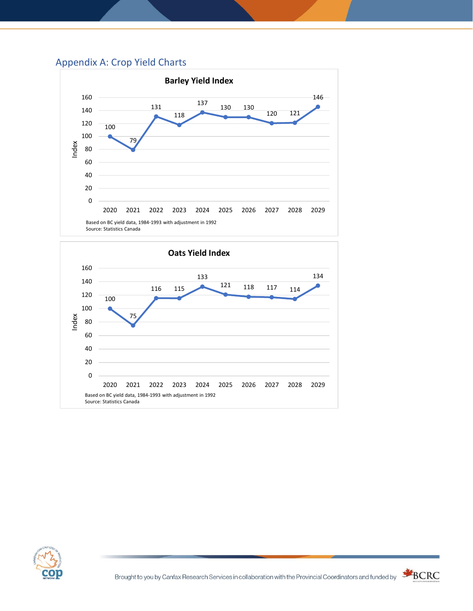## Appendix A: Crop Yield Charts